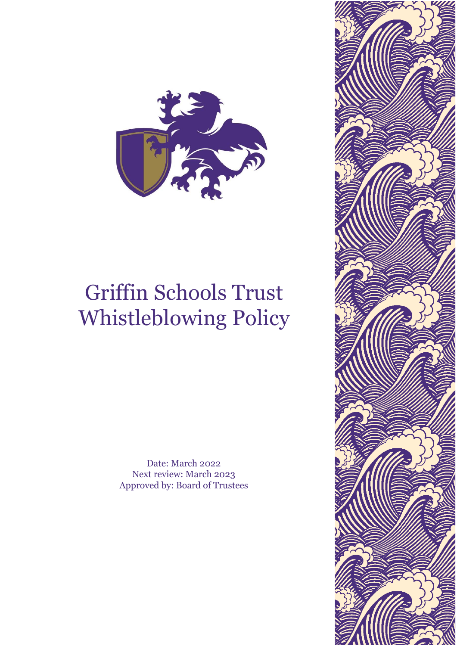

# Griffin Schools Trust Whistleblowing Policy

Date: March 2022 Next review: March 2023 Approved by: Board of Trustees

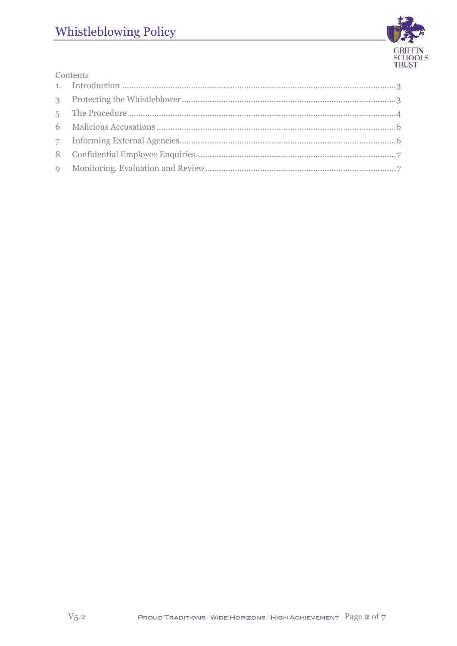

| Contents |  |  |
|----------|--|--|
|          |  |  |
|          |  |  |
|          |  |  |
|          |  |  |
|          |  |  |
|          |  |  |
|          |  |  |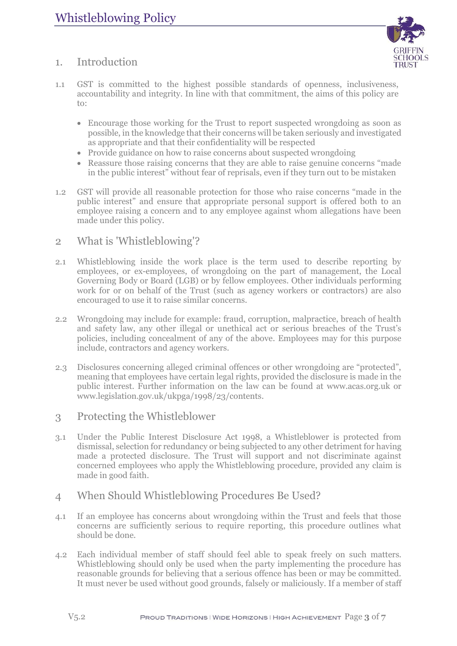

## <span id="page-2-0"></span>1. Introduction

- 1.1 GST is committed to the highest possible standards of openness, inclusiveness, accountability and integrity. In line with that commitment, the aims of this policy are to:
	- Encourage those working for the Trust to report suspected wrongdoing as soon as possible, in the knowledge that their concerns will be taken seriously and investigated as appropriate and that their confidentiality will be respected
	- Provide guidance on how to raise concerns about suspected wrongdoing
	- Reassure those raising concerns that they are able to raise genuine concerns "made" in the public interest" without fear of reprisals, even if they turn out to be mistaken
- 1.2 GST will provide all reasonable protection for those who raise concerns "made in the public interest" and ensure that appropriate personal support is offered both to an employee raising a concern and to any employee against whom allegations have been made under this policy.

#### 2 What is 'Whistleblowing'?

- 2.1 Whistleblowing inside the work place is the term used to describe reporting by employees, or ex-employees, of wrongdoing on the part of management, the Local Governing Body or Board (LGB) or by fellow employees. Other individuals performing work for or on behalf of the Trust (such as agency workers or contractors) are also encouraged to use it to raise similar concerns.
- 2.2 Wrongdoing may include for example: fraud, corruption, malpractice, breach of health and safety law, any other illegal or unethical act or serious breaches of the Trust's policies, including concealment of any of the above. Employees may for this purpose include, contractors and agency workers.
- 2.3 Disclosures concerning alleged criminal offences or other wrongdoing are "protected", meaning that employees have certain legal rights, provided the disclosure is made in the public interest. Further information on the law can be found at [www.acas.org.uk](http://www.acas.org.uk/) or [www.legislation.gov.uk/ukpga/1998/23/contents.](http://www.legislation.gov.uk/ukpga/1998/23/contents)

#### <span id="page-2-1"></span>3 Protecting the Whistleblower

3.1 Under the Public Interest Disclosure Act 1998, a Whistleblower is protected from dismissal, selection for redundancy or being subjected to any other detriment for having made a protected disclosure. The Trust will support and not discriminate against concerned employees who apply the Whistleblowing procedure, provided any claim is made in good faith.

#### 4 When Should Whistleblowing Procedures Be Used?

- 4.1 If an employee has concerns about wrongdoing within the Trust and feels that those concerns are sufficiently serious to require reporting, this procedure outlines what should be done.
- 4.2 Each individual member of staff should feel able to speak freely on such matters. Whistleblowing should only be used when the party implementing the procedure has reasonable grounds for believing that a serious offence has been or may be committed. It must never be used without good grounds, falsely or maliciously. If a member of staff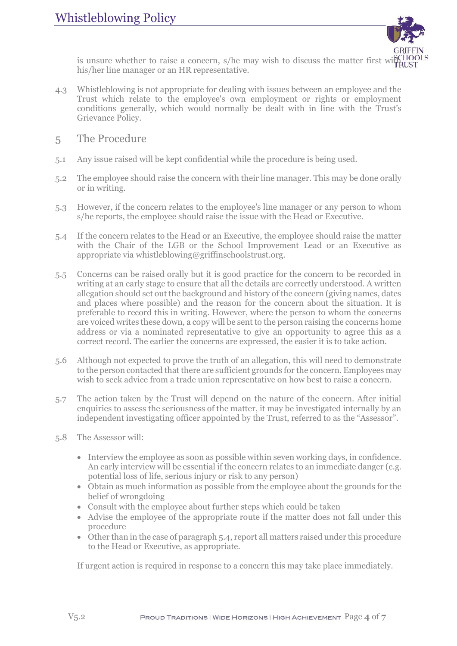

is unsure whether to raise a concern, s/he may wish to discuss the matter first with  $\frac{SCH}{PRI}$ his/her line manager or an HR representative.

- 4.3 Whistleblowing is not appropriate for dealing with issues between an employee and the Trust which relate to the employee's own employment or rights or employment conditions generally, which would normally be dealt with in line with the Trust's Grievance Policy.
- <span id="page-3-0"></span>5 The Procedure
- 5.1 Any issue raised will be kept confidential while the procedure is being used.
- 5.2 The employee should raise the concern with their line manager. This may be done orally or in writing.
- 5.3 However, if the concern relates to the employee's line manager or any person to whom s/he reports, the employee should raise the issue with the Head or Executive.
- 5.4 If the concern relates to the Head or an Executive, the employee should raise the matter with the Chair of the LGB or the School Improvement Lead or an Executive as appropriate via whistleblowing@griffinschoolstrust.org.
- 5.5 Concerns can be raised orally but it is good practice for the concern to be recorded in writing at an early stage to ensure that all the details are correctly understood. A written allegation should set out the background and history of the concern (giving names, dates and places where possible) and the reason for the concern about the situation. It is preferable to record this in writing. However, where the person to whom the concerns are voiced writes these down, a copy will be sent to the person raising the concerns home address or via a nominated representative to give an opportunity to agree this as a correct record. The earlier the concerns are expressed, the easier it is to take action.
- 5.6 Although not expected to prove the truth of an allegation, this will need to demonstrate to the person contacted that there are sufficient grounds for the concern. Employees may wish to seek advice from a trade union representative on how best to raise a concern.
- 5.7 The action taken by the Trust will depend on the nature of the concern. After initial enquiries to assess the seriousness of the matter, it may be investigated internally by an independent investigating officer appointed by the Trust, referred to as the "Assessor".
- 5.8 The Assessor will:
	- Interview the employee as soon as possible within seven working days, in confidence. An early interview will be essential if the concern relates to an immediate danger (e.g. potential loss of life, serious injury or risk to any person)
	- Obtain as much information as possible from the employee about the grounds for the belief of wrongdoing
	- Consult with the employee about further steps which could be taken
	- Advise the employee of the appropriate route if the matter does not fall under this procedure
	- Other than in the case of paragraph 5.4, report all matters raised under this procedure to the Head or Executive, as appropriate.

If urgent action is required in response to a concern this may take place immediately.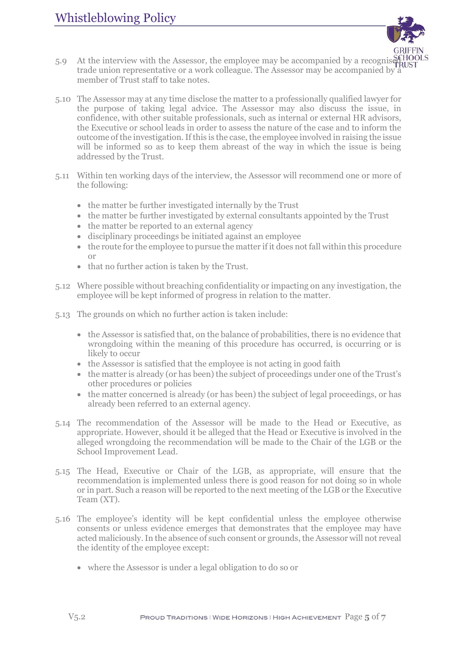

- 5.9 At the interview with the Assessor, the employee may be accompanied by a recognise SGHOOLS<br>trade union representative or a work college as The Assessor may be accompanied by HRUST trade union representative or a work colleague. The Assessor may be accompanied by a member of Trust staff to take notes.
- 5.10 The Assessor may at any time disclose the matter to a professionally qualified lawyer for the purpose of taking legal advice. The Assessor may also discuss the issue, in confidence, with other suitable professionals, such as internal or external HR advisors, the Executive or school leads in order to assess the nature of the case and to inform the outcome of the investigation. If this is the case, the employee involved in raising the issue will be informed so as to keep them abreast of the way in which the issue is being addressed by the Trust.
- 5.11 Within ten working days of the interview, the Assessor will recommend one or more of the following:
	- the matter be further investigated internally by the Trust
	- the matter be further investigated by external consultants appointed by the Trust
	- the matter be reported to an external agency
	- disciplinary proceedings be initiated against an employee
	- the route for the employee to pursue the matter if it does not fall within this procedure or
	- that no further action is taken by the Trust.
- 5.12 Where possible without breaching confidentiality or impacting on any investigation, the employee will be kept informed of progress in relation to the matter.
- 5.13 The grounds on which no further action is taken include:
	- $\bullet$  the Assessor is satisfied that, on the balance of probabilities, there is no evidence that wrongdoing within the meaning of this procedure has occurred, is occurring or is likely to occur
	- the Assessor is satisfied that the employee is not acting in good faith
	- the matter is already (or has been) the subject of proceedings under one of the Trust's other procedures or policies
	- the matter concerned is already (or has been) the subject of legal proceedings, or has already been referred to an external agency.
- 5.14 The recommendation of the Assessor will be made to the Head or Executive, as appropriate. However, should it be alleged that the Head or Executive is involved in the alleged wrongdoing the recommendation will be made to the Chair of the LGB or the School Improvement Lead.
- 5.15 The Head, Executive or Chair of the LGB, as appropriate, will ensure that the recommendation is implemented unless there is good reason for not doing so in whole or in part. Such a reason will be reported to the next meeting of the LGB or the Executive Team (XT).
- 5.16 The employee's identity will be kept confidential unless the employee otherwise consents or unless evidence emerges that demonstrates that the employee may have acted maliciously. In the absence of such consent or grounds, the Assessor will not reveal the identity of the employee except:
	- where the Assessor is under a legal obligation to do so or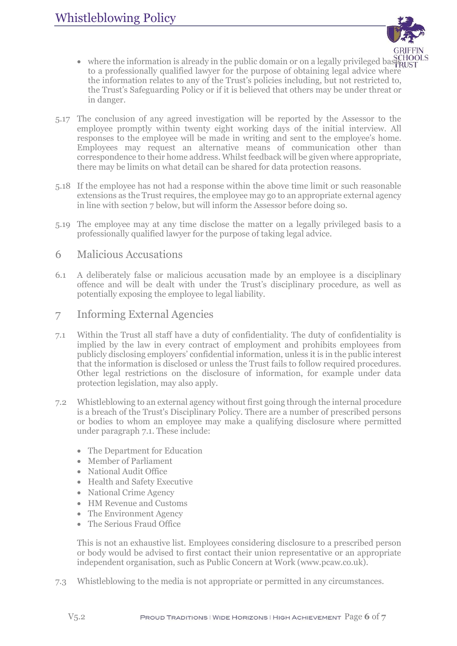

- $\bullet$  where the information is already in the public domain or on a legally privileged basel  $\widehat{R}$ UST to a professionally qualified lawyer for the purpose of obtaining legal advice where the information relates to any of the Trust's policies including, but not restricted to, the Trust's Safeguarding Policy or if it is believed that others may be under threat or in danger.
- 5.17 The conclusion of any agreed investigation will be reported by the Assessor to the employee promptly within twenty eight working days of the initial interview. All responses to the employee will be made in writing and sent to the employee's home. Employees may request an alternative means of communication other than correspondence to their home address. Whilst feedback will be given where appropriate, there may be limits on what detail can be shared for data protection reasons.
- 5.18 If the employee has not had a response within the above time limit or such reasonable extensions as the Trust requires, the employee may go to an appropriate external agency in line with section 7 below, but will inform the Assessor before doing so.
- 5.19 The employee may at any time disclose the matter on a legally privileged basis to a professionally qualified lawyer for the purpose of taking legal advice.

#### <span id="page-5-0"></span>6 Malicious Accusations

- 6.1 A deliberately false or malicious accusation made by an employee is a disciplinary offence and will be dealt with under the Trust's disciplinary procedure, as well as potentially exposing the employee to legal liability.
- <span id="page-5-1"></span>7 Informing External Agencies
- 7.1 Within the Trust all staff have a duty of confidentiality. The duty of confidentiality is implied by the law in every contract of employment and prohibits employees from publicly disclosing employers' confidential information, unless it is in the public interest that the information is disclosed or unless the Trust fails to follow required procedures. Other legal restrictions on the disclosure of information, for example under data protection legislation, may also apply.
- 7.2 Whistleblowing to an external agency without first going through the internal procedure is a breach of the Trust's Disciplinary Policy. There are a number of prescribed persons or bodies to whom an employee may make a qualifying disclosure where permitted under paragraph 7.1. These include:
	- The Department for Education
	- Member of Parliament
	- National Audit Office
	- Health and Safety Executive
	- National Crime Agency
	- HM Revenue and Customs
	- The Environment Agency
	- The Serious Fraud Office

This is not an exhaustive list. Employees considering disclosure to a prescribed person or body would be advised to first contact their union representative or an appropriate independent organisation, such as Public Concern at Work (www.pcaw.co.uk).

7.3 Whistleblowing to the media is not appropriate or permitted in any circumstances.